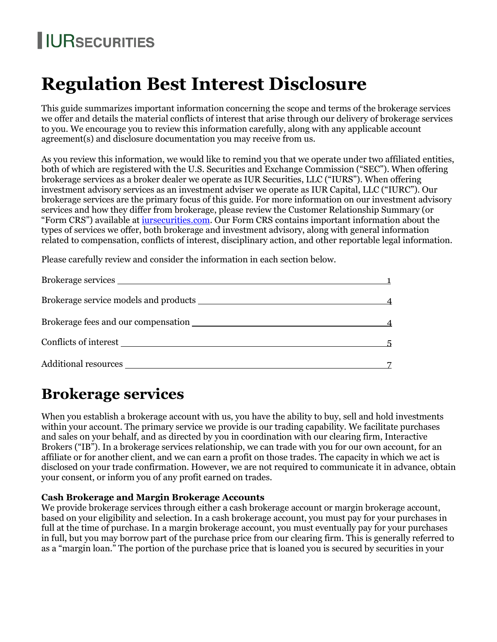# **I**IURSECURITIES

# **Regulation Best Interest Disclosure**

This guide summarizes important information concerning the scope and terms of the brokerage services we offer and details the material conflicts of interest that arise through our delivery of brokerage services to you. We encourage you to review this information carefully, along with any applicable account agreement(s) and disclosure documentation you may receive from us.

As you review this information, we would like to remind you that we operate under two affiliated entities, both of which are registered with the U.S. Securities and Exchange Commission ("SEC"). When offering brokerage services as a broker dealer we operate as IUR Securities, LLC ("IURS"). When offering investment advisory services as an investment adviser we operate as IUR Capital, LLC ("IURC"). Our brokerage services are the primary focus of this guide. For more information on our investment advisory services and how they differ from brokerage, please review the Customer Relationship Summary (or "Form CRS") available at [iursecurities.com.](http://www.iursecurities.com/) Our Form CRS contains important information about the types of services we offer, both brokerage and investment advisory, along with general information related to compensation, conflicts of interest, disciplinary action, and other reportable legal information.

Please carefully review and consider the information in each section below.

| Brokerage services    |  |
|-----------------------|--|
|                       |  |
|                       |  |
| Conflicts of interest |  |
|                       |  |

# **Brokerage services**

When you establish a brokerage account with us, you have the ability to buy, sell and hold investments within your account. The primary service we provide is our trading capability. We facilitate purchases and sales on your behalf, and as directed by you in coordination with our clearing firm, Interactive Brokers ("IB"). In a brokerage services relationship, we can trade with you for our own account, for an affiliate or for another client, and we can earn a profit on those trades. The capacity in which we act is disclosed on your trade confirmation. However, we are not required to communicate it in advance, obtain your consent, or inform you of any profit earned on trades.

# **Cash Brokerage and Margin Brokerage Accounts**

We provide brokerage services through either a cash brokerage account or margin brokerage account, based on your eligibility and selection. In a cash brokerage account, you must pay for your purchases in full at the time of purchase. In a margin brokerage account, you must eventually pay for your purchases in full, but you may borrow part of the purchase price from our clearing firm. This is generally referred to as a "margin loan." The portion of the purchase price that is loaned you is secured by securities in your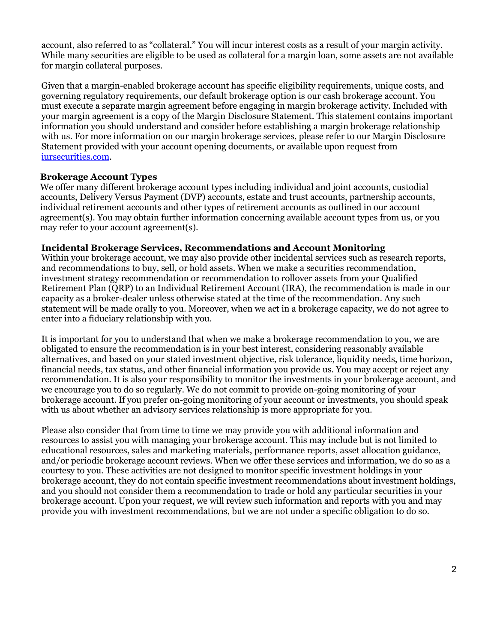account, also referred to as "collateral." You will incur interest costs as a result of your margin activity. While many securities are eligible to be used as collateral for a margin loan, some assets are not available for margin collateral purposes.

Given that a margin-enabled brokerage account has specific eligibility requirements, unique costs, and governing regulatory requirements, our default brokerage option is our cash brokerage account. You must execute a separate margin agreement before engaging in margin brokerage activity. Included with your margin agreement is a copy of the Margin Disclosure Statement. This statement contains important information you should understand and consider before establishing a margin brokerage relationship with us. For more information on our margin brokerage services, please refer to our Margin Disclosure Statement provided with your account opening documents, or available upon request from [iursecurities.com.](http://www.iursecurities.com/)

### **Brokerage Account Types**

We offer many different brokerage account types including individual and joint accounts, custodial accounts, Delivery Versus Payment (DVP) accounts, estate and trust accounts, partnership accounts, individual retirement accounts and other types of retirement accounts as outlined in our account agreement(s). You may obtain further information concerning available account types from us, or you may refer to your account agreement(s).

#### **Incidental Brokerage Services, Recommendations and Account Monitoring**

Within your brokerage account, we may also provide other incidental services such as research reports, and recommendations to buy, sell, or hold assets. When we make a securities recommendation, investment strategy recommendation or recommendation to rollover assets from your Qualified Retirement Plan (QRP) to an Individual Retirement Account (IRA), the recommendation is made in our capacity as a broker-dealer unless otherwise stated at the time of the recommendation. Any such statement will be made orally to you. Moreover, when we act in a brokerage capacity, we do not agree to enter into a fiduciary relationship with you.

It is important for you to understand that when we make a brokerage recommendation to you, we are obligated to ensure the recommendation is in your best interest, considering reasonably available alternatives, and based on your stated investment objective, risk tolerance, liquidity needs, time horizon, financial needs, tax status, and other financial information you provide us. You may accept or reject any recommendation. It is also your responsibility to monitor the investments in your brokerage account, and we encourage you to do so regularly. We do not commit to provide on-going monitoring of your brokerage account. If you prefer on-going monitoring of your account or investments, you should speak with us about whether an advisory services relationship is more appropriate for you.

Please also consider that from time to time we may provide you with additional information and resources to assist you with managing your brokerage account. This may include but is not limited to educational resources, sales and marketing materials, performance reports, asset allocation guidance, and/or periodic brokerage account reviews. When we offer these services and information, we do so as a courtesy to you. These activities are not designed to monitor specific investment holdings in your brokerage account, they do not contain specific investment recommendations about investment holdings, and you should not consider them a recommendation to trade or hold any particular securities in your brokerage account. Upon your request, we will review such information and reports with you and may provide you with investment recommendations, but we are not under a specific obligation to do so.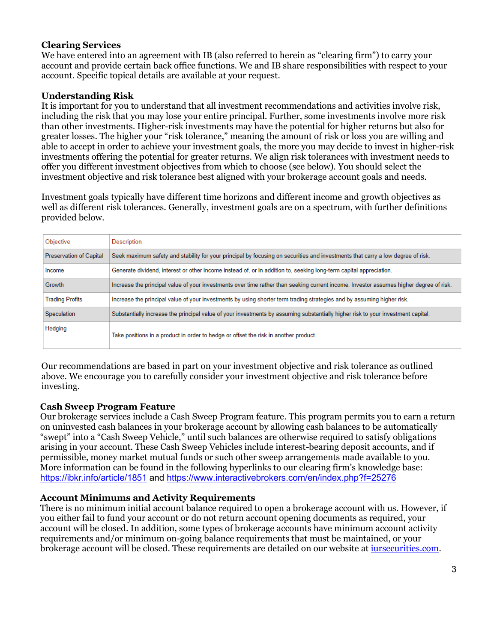# **Clearing Services**

We have entered into an agreement with IB (also referred to herein as "clearing firm") to carry your account and provide certain back office functions. We and IB share responsibilities with respect to your account. Specific topical details are available at your request.

# **Understanding Risk**

It is important for you to understand that all investment recommendations and activities involve risk, including the risk that you may lose your entire principal. Further, some investments involve more risk than other investments. Higher-risk investments may have the potential for higher returns but also for greater losses. The higher your "risk tolerance," meaning the amount of risk or loss you are willing and able to accept in order to achieve your investment goals, the more you may decide to invest in higher-risk investments offering the potential for greater returns. We align risk tolerances with investment needs to offer you different investment objectives from which to choose (see below). You should select the investment objective and risk tolerance best aligned with your brokerage account goals and needs.

Investment goals typically have different time horizons and different income and growth objectives as well as different risk tolerances. Generally, investment goals are on a spectrum, with further definitions provided below.

| Objective                      | Description                                                                                                                            |
|--------------------------------|----------------------------------------------------------------------------------------------------------------------------------------|
| <b>Preservation of Capital</b> | Seek maximum safety and stability for your principal by focusing on securities and investments that carry a low degree of risk.        |
| Income                         | Generate dividend, interest or other income instead of, or in addition to, seeking long-term capital appreciation.                     |
| Growth                         | Increase the principal value of your investments over time rather than seeking current income. Investor assumes higher degree of risk. |
| <b>Trading Profits</b>         | Increase the principal value of your investments by using shorter term trading strategies and by assuming higher risk.                 |
| Speculation                    | Substantially increase the principal value of your investments by assuming substantially higher risk to your investment capital.       |
| Hedging                        | Take positions in a product in order to hedge or offset the risk in another product.                                                   |

Our recommendations are based in part on your investment objective and risk tolerance as outlined above. We encourage you to carefully consider your investment objective and risk tolerance before investing.

### **Cash Sweep Program Feature**

Our brokerage services include a Cash Sweep Program feature. This program permits you to earn a return on uninvested cash balances in your brokerage account by allowing cash balances to be automatically "swept" into a "Cash Sweep Vehicle," until such balances are otherwise required to satisfy obligations arising in your account. These Cash Sweep Vehicles include interest-bearing deposit accounts, and if permissible, money market mutual funds or such other sweep arrangements made available to you. More information can be found in the following hyperlinks to our clearing firm's knowledge base: <https://ibkr.info/article/1851> and<https://www.interactivebrokers.com/en/index.php?f=25276>

### **Account Minimums and Activity Requirements**

There is no minimum initial account balance required to open a brokerage account with us. However, if you either fail to fund your account or do not return account opening documents as required, your account will be closed. In addition, some types of brokerage accounts have minimum account activity requirements and/or minimum on-going balance requirements that must be maintained, or your brokerage account will be closed. These requirements are detailed on our website at [iursecurities.com.](http://www.iursecurities.com/)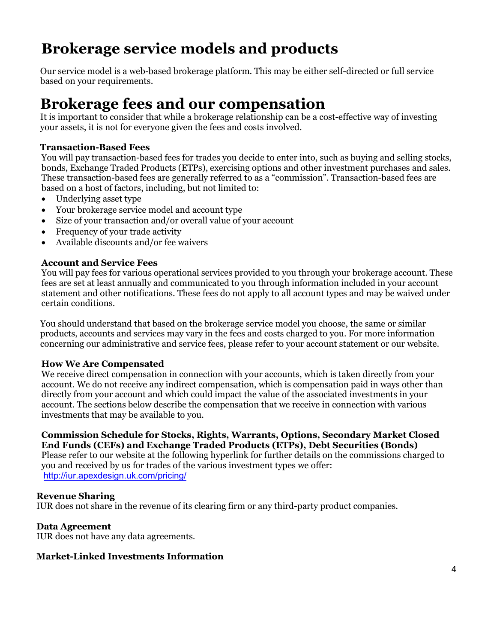# **Brokerage service models and products**

Our service model is a web-based brokerage platform. This may be either self-directed or full service based on your requirements.

# **Brokerage fees and our compensation**

It is important to consider that while a brokerage relationship can be a cost-effective way of investing your assets, it is not for everyone given the fees and costs involved.

# **Transaction-Based Fees**

You will pay transaction-based fees for trades you decide to enter into, such as buying and selling stocks, bonds, Exchange Traded Products (ETPs), exercising options and other investment purchases and sales. These transaction-based fees are generally referred to as a "commission". Transaction-based fees are based on a host of factors, including, but not limited to:

- Underlying asset type
- Your brokerage service model and account type
- Size of your transaction and/or overall value of your account
- Frequency of your trade activity
- Available discounts and/or fee waivers

# **Account and Service Fees**

You will pay fees for various operational services provided to you through your brokerage account. These fees are set at least annually and communicated to you through information included in your account statement and other notifications. These fees do not apply to all account types and may be waived under certain conditions.

You should understand that based on the brokerage service model you choose, the same or similar products, accounts and services may vary in the fees and costs charged to you. For more information concerning our administrative and service fees, please refer to your account statement or our website.

### **How We Are Compensated**

We receive direct compensation in connection with your accounts, which is taken directly from your account. We do not receive any indirect compensation, which is compensation paid in ways other than directly from your account and which could impact the value of the associated investments in your account. The sections below describe the compensation that we receive in connection with various investments that may be available to you.

### **Commission Schedule for Stocks, Rights, Warrants, Options, Secondary Market Closed End Funds (CEFs) and Exchange Traded Products (ETPs), Debt Securities (Bonds)**

Please refer to our website at the following hyperlink for further details on the commissions charged to you and received by us for trades of the various investment types we offer: <http://iur.apexdesign.uk.com/pricing/>

### **Revenue Sharing**

IUR does not share in the revenue of its clearing firm or any third-party product companies.

### **Data Agreement**

IUR does not have any data agreements.

### **Market-Linked Investments Information**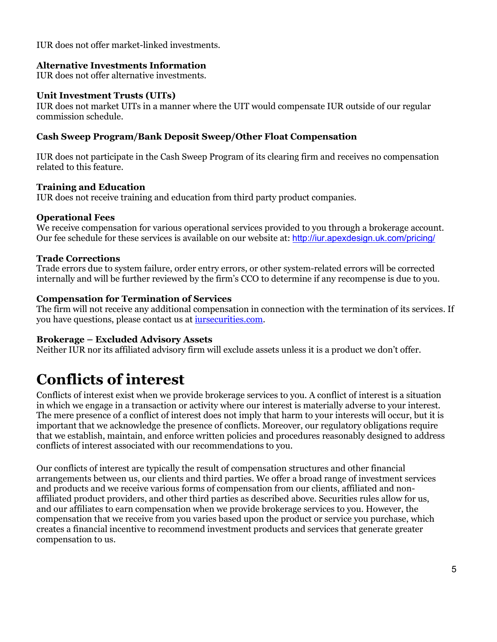IUR does not offer market-linked investments.

# **Alternative Investments Information**

IUR does not offer alternative investments.

### **Unit Investment Trusts (UITs)**

IUR does not market UITs in a manner where the UIT would compensate IUR outside of our regular commission schedule.

# **Cash Sweep Program/Bank Deposit Sweep/Other Float Compensation**

IUR does not participate in the Cash Sweep Program of its clearing firm and receives no compensation related to this feature.

# **Training and Education**

IUR does not receive training and education from third party product companies.

# **Operational Fees**

We receive compensation for various operational services provided to you through a brokerage account. Our fee schedule for these services is available on our website at: <http://iur.apexdesign.uk.com/pricing/>

# **Trade Corrections**

Trade errors due to system failure, order entry errors, or other system-related errors will be corrected internally and will be further reviewed by the firm's CCO to determine if any recompense is due to you.

# **Compensation for Termination of Services**

The firm will not receive any additional compensation in connection with the termination of its services. If you have questions, please contact us at [iursecurities.com.](mailto:info@iurcapital.com)

### **Brokerage – Excluded Advisory Assets**

Neither IUR nor its affiliated advisory firm will exclude assets unless it is a product we don't offer.

# **Conflicts of interest**

Conflicts of interest exist when we provide brokerage services to you. A conflict of interest is a situation in which we engage in a transaction or activity where our interest is materially adverse to your interest. The mere presence of a conflict of interest does not imply that harm to your interests will occur, but it is important that we acknowledge the presence of conflicts. Moreover, our regulatory obligations require that we establish, maintain, and enforce written policies and procedures reasonably designed to address conflicts of interest associated with our recommendations to you.

Our conflicts of interest are typically the result of compensation structures and other financial arrangements between us, our clients and third parties. We offer a broad range of investment services and products and we receive various forms of compensation from our clients, affiliated and nonaffiliated product providers, and other third parties as described above. Securities rules allow for us, and our affiliates to earn compensation when we provide brokerage services to you. However, the compensation that we receive from you varies based upon the product or service you purchase, which creates a financial incentive to recommend investment products and services that generate greater compensation to us.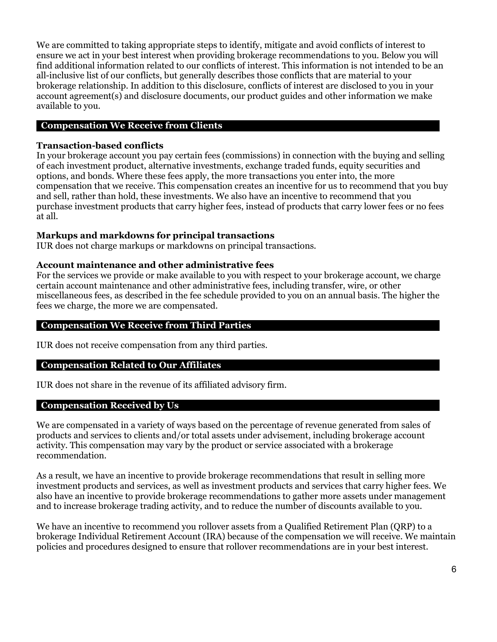We are committed to taking appropriate steps to identify, mitigate and avoid conflicts of interest to ensure we act in your best interest when providing brokerage recommendations to you. Below you will find additional information related to our conflicts of interest. This information is not intended to be an all-inclusive list of our conflicts, but generally describes those conflicts that are material to your brokerage relationship. In addition to this disclosure, conflicts of interest are disclosed to you in your account agreement(s) and disclosure documents, our product guides and other information we make available to you.

# **Compensation We Receive from Clients**

### **Transaction-based conflicts**

In your brokerage account you pay certain fees (commissions) in connection with the buying and selling of each investment product, alternative investments, exchange traded funds, equity securities and options, and bonds. Where these fees apply, the more transactions you enter into, the more compensation that we receive. This compensation creates an incentive for us to recommend that you buy and sell, rather than hold, these investments. We also have an incentive to recommend that you purchase investment products that carry higher fees, instead of products that carry lower fees or no fees at all.

### **Markups and markdowns for principal transactions**

IUR does not charge markups or markdowns on principal transactions.

#### **Account maintenance and other administrative fees**

For the services we provide or make available to you with respect to your brokerage account, we charge certain account maintenance and other administrative fees, including transfer, wire, or other miscellaneous fees, as described in the fee schedule provided to you on an annual basis. The higher the fees we charge, the more we are compensated.

#### **Compensation We Receive from Third Parties**

IUR does not receive compensation from any third parties.

### **Compensation Related to Our Affiliates**

IUR does not share in the revenue of its affiliated advisory firm.

#### **Compensation Received by Us**

We are compensated in a variety of ways based on the percentage of revenue generated from sales of products and services to clients and/or total assets under advisement, including brokerage account activity. This compensation may vary by the product or service associated with a brokerage recommendation.

As a result, we have an incentive to provide brokerage recommendations that result in selling more investment products and services, as well as investment products and services that carry higher fees. We also have an incentive to provide brokerage recommendations to gather more assets under management and to increase brokerage trading activity, and to reduce the number of discounts available to you.

We have an incentive to recommend you rollover assets from a Qualified Retirement Plan (QRP) to a brokerage Individual Retirement Account (IRA) because of the compensation we will receive. We maintain policies and procedures designed to ensure that rollover recommendations are in your best interest.